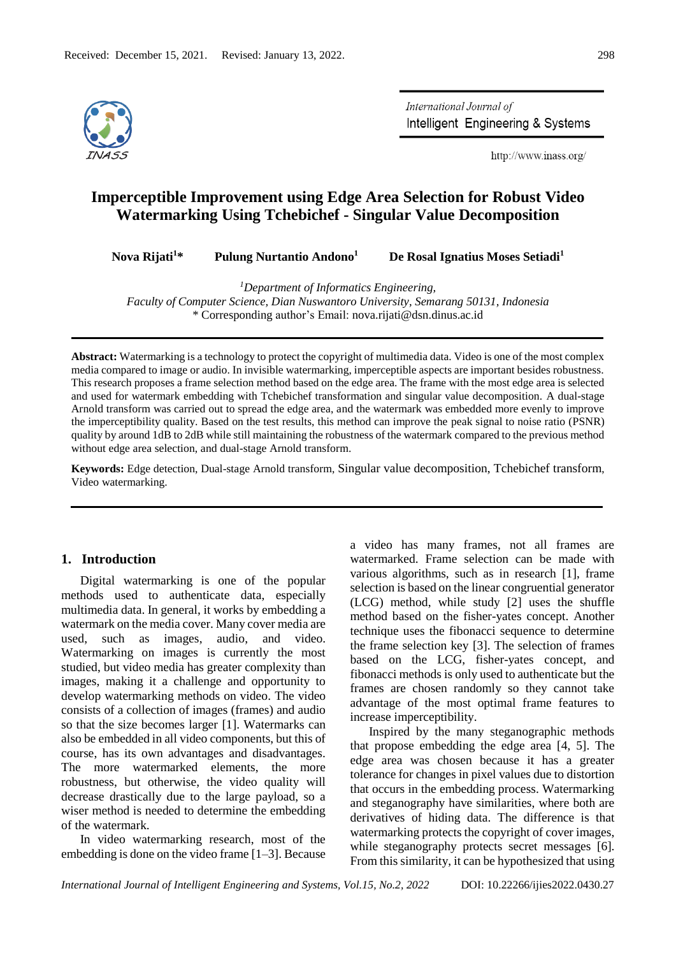

International Journal of Intelligent Engineering & Systems

http://www.inass.org/

# **Imperceptible Improvement using Edge Area Selection for Robust Video Watermarking Using Tchebichef - Singular Value Decomposition**

**Nova Rijati<sup>1</sup>\* Pulung Nurtantio Andono<sup>1</sup>**

 **De Rosal Ignatius Moses Setiadi<sup>1</sup>**

*<sup>1</sup>Department of Informatics Engineering,* 

*Faculty of Computer Science, Dian Nuswantoro University, Semarang 50131, Indonesia* \* Corresponding author's Email: nova.rijati@dsn.dinus.ac.id

**Abstract:** Watermarking is a technology to protect the copyright of multimedia data. Video is one of the most complex media compared to image or audio. In invisible watermarking, imperceptible aspects are important besides robustness. This research proposes a frame selection method based on the edge area. The frame with the most edge area is selected and used for watermark embedding with Tchebichef transformation and singular value decomposition. A dual-stage Arnold transform was carried out to spread the edge area, and the watermark was embedded more evenly to improve the imperceptibility quality. Based on the test results, this method can improve the peak signal to noise ratio (PSNR) quality by around 1dB to 2dB while still maintaining the robustness of the watermark compared to the previous method without edge area selection, and dual-stage Arnold transform.

**Keywords:** Edge detection, Dual-stage Arnold transform, Singular value decomposition, Tchebichef transform, Video watermarking.

## **1. Introduction**

Digital watermarking is one of the popular methods used to authenticate data, especially multimedia data. In general, it works by embedding a watermark on the media cover. Many cover media are used, such as images, audio, and video. Watermarking on images is currently the most studied, but video media has greater complexity than images, making it a challenge and opportunity to develop watermarking methods on video. The video consists of a collection of images (frames) and audio so that the size becomes larger [1]. Watermarks can also be embedded in all video components, but this of course, has its own advantages and disadvantages. The more watermarked elements, the more robustness, but otherwise, the video quality will decrease drastically due to the large payload, so a wiser method is needed to determine the embedding of the watermark.

In video watermarking research, most of the embedding is done on the video frame [1–3]. Because a video has many frames, not all frames are watermarked. Frame selection can be made with various algorithms, such as in research [1], frame selection is based on the linear congruential generator (LCG) method, while study [2] uses the shuffle method based on the fisher-yates concept. Another technique uses the fibonacci sequence to determine the frame selection key [3]. The selection of frames based on the LCG, fisher-yates concept, and fibonacci methods is only used to authenticate but the frames are chosen randomly so they cannot take advantage of the most optimal frame features to increase imperceptibility.

Inspired by the many steganographic methods that propose embedding the edge area [4, 5]. The edge area was chosen because it has a greater tolerance for changes in pixel values due to distortion that occurs in the embedding process. Watermarking and steganography have similarities, where both are derivatives of hiding data. The difference is that watermarking protects the copyright of cover images, while steganography protects secret messages [6]. From this similarity, it can be hypothesized that using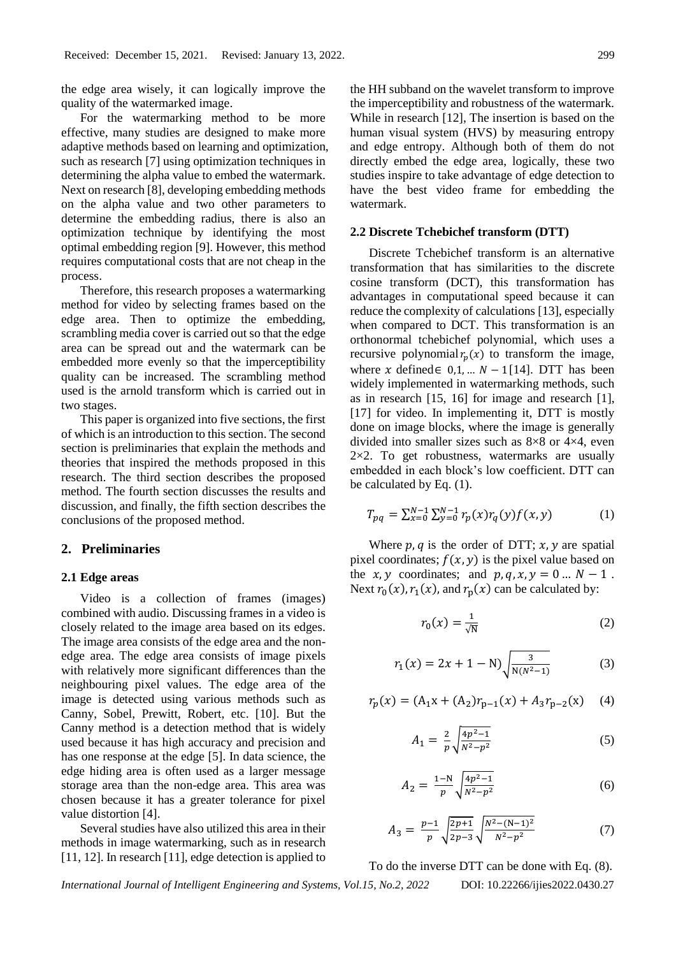the edge area wisely, it can logically improve the quality of the watermarked image.

For the watermarking method to be more effective, many studies are designed to make more adaptive methods based on learning and optimization, such as research [7] using optimization techniques in determining the alpha value to embed the watermark. Next on research [8], developing embedding methods on the alpha value and two other parameters to determine the embedding radius, there is also an optimization technique by identifying the most optimal embedding region [9]. However, this method requires computational costs that are not cheap in the process.

Therefore, this research proposes a watermarking method for video by selecting frames based on the edge area. Then to optimize the embedding, scrambling media cover is carried out so that the edge area can be spread out and the watermark can be embedded more evenly so that the imperceptibility quality can be increased. The scrambling method used is the arnold transform which is carried out in two stages.

This paper is organized into five sections, the first of which is an introduction to this section. The second section is preliminaries that explain the methods and theories that inspired the methods proposed in this research. The third section describes the proposed method. The fourth section discusses the results and discussion, and finally, the fifth section describes the conclusions of the proposed method.

### **2. Preliminaries**

### **2.1 Edge areas**

Video is a collection of frames (images) combined with audio. Discussing frames in a video is closely related to the image area based on its edges. The image area consists of the edge area and the nonedge area. The edge area consists of image pixels with relatively more significant differences than the neighbouring pixel values. The edge area of the image is detected using various methods such as Canny, Sobel, Prewitt, Robert, etc. [10]. But the Canny method is a detection method that is widely used because it has high accuracy and precision and has one response at the edge [5]. In data science, the edge hiding area is often used as a larger message storage area than the non-edge area. This area was chosen because it has a greater tolerance for pixel value distortion [4].

Several studies have also utilized this area in their methods in image watermarking, such as in research [11, 12]. In research [11], edge detection is applied to the HH subband on the wavelet transform to improve the imperceptibility and robustness of the watermark. While in research [12], The insertion is based on the human visual system (HVS) by measuring entropy and edge entropy. Although both of them do not directly embed the edge area, logically, these two studies inspire to take advantage of edge detection to have the best video frame for embedding the watermark.

### **2.2 Discrete Tchebichef transform (DTT)**

Discrete Tchebichef transform is an alternative transformation that has similarities to the discrete cosine transform (DCT), this transformation has advantages in computational speed because it can reduce the complexity of calculations [13], especially when compared to DCT. This transformation is an orthonormal tchebichef polynomial, which uses a recursive polynomial  $r_p(x)$  to transform the image, where x defined  $\in$  0,1, ...  $N-1$ [14]. DTT has been widely implemented in watermarking methods, such as in research [15, 16] for image and research [1], [17] for video. In implementing it, DTT is mostly done on image blocks, where the image is generally divided into smaller sizes such as 8×8 or 4×4, even  $2\times2$ . To get robustness, watermarks are usually embedded in each block's low coefficient. DTT can be calculated by Eq. (1).

$$
T_{pq} = \sum_{x=0}^{N-1} \sum_{y=0}^{N-1} r_p(x) r_q(y) f(x, y)
$$
 (1)

Where  $p, q$  is the order of DTT;  $x, y$  are spatial pixel coordinates;  $f(x, y)$  is the pixel value based on the  $x, y$  coordinates; and  $p, q, x, y = 0 ... N - 1$ . Next  $r_0(x)$ ,  $r_1(x)$ , and  $r_p(x)$  can be calculated by:

$$
r_0(x) = \frac{1}{\sqrt{N}}\tag{2}
$$

$$
r_1(x) = 2x + 1 - N \sqrt{\frac{3}{N(N^2 - 1)}}\tag{3}
$$

$$
r_p(x) = (A_1x + (A_2)r_{p-1}(x) + A_3r_{p-2}(x) \quad (4)
$$

$$
A_1 = \frac{2}{p} \sqrt{\frac{4p^2 - 1}{N^2 - p^2}} \tag{5}
$$

$$
A_2 = \frac{1 - N}{p} \sqrt{\frac{4p^2 - 1}{N^2 - p^2}} \tag{6}
$$

$$
A_3 = \frac{p-1}{p} \sqrt{\frac{2p+1}{2p-3}} \sqrt{\frac{N^2 - (N-1)^2}{N^2 - p^2}} \tag{7}
$$

To do the inverse DTT can be done with Eq. (8).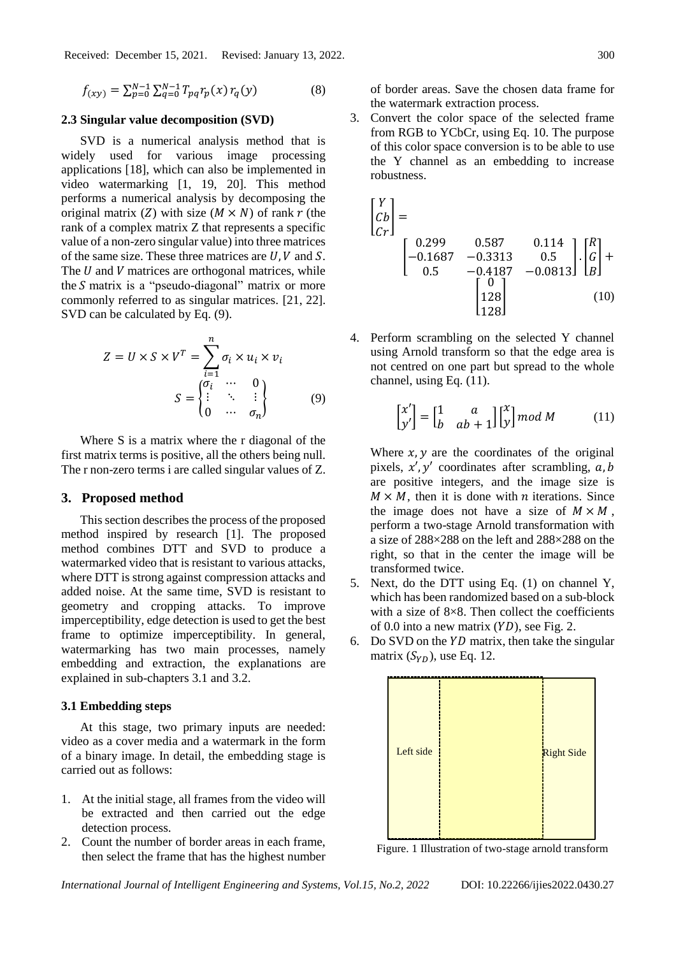Received: December 15, 2021. Revised: January 13, 2022. 300

$$
f_{(xy)} = \sum_{p=0}^{N-1} \sum_{q=0}^{N-1} T_{pq} r_p(x) r_q(y)
$$
 (8)

#### **2.3 Singular value decomposition (SVD)**

SVD is a numerical analysis method that is widely used for various image processing applications [18], which can also be implemented in video watermarking [1, 19, 20]. This method performs a numerical analysis by decomposing the original matrix (Z) with size ( $M \times N$ ) of rank r (the rank of a complex matrix Z that represents a specific value of a non-zero singular value) into three matrices of the same size. These three matrices are  $U, V$  and  $S$ . The  $U$  and  $V$  matrices are orthogonal matrices, while the  $S$  matrix is a "pseudo-diagonal" matrix or more commonly referred to as singular matrices. [21, 22]. SVD can be calculated by Eq. (9).

$$
Z = U \times S \times V^{T} = \sum_{i=1}^{n} \sigma_{i} \times u_{i} \times v_{i}
$$

$$
S = \begin{cases} \sigma_{i} & \cdots & 0 \\ \vdots & \ddots & \vdots \\ 0 & \cdots & \sigma_{n} \end{cases}
$$
(9)

Where S is a matrix where the r diagonal of the first matrix terms is positive, all the others being null. The r non-zero terms i are called singular values of Z.

## **3. Proposed method**

This section describes the process of the proposed method inspired by research [1]. The proposed method combines DTT and SVD to produce a watermarked video that is resistant to various attacks, where DTT is strong against compression attacks and added noise. At the same time, SVD is resistant to geometry and cropping attacks. To improve imperceptibility, edge detection is used to get the best frame to optimize imperceptibility. In general, watermarking has two main processes, namely embedding and extraction, the explanations are explained in sub-chapters 3.1 and 3.2.

#### **3.1 Embedding steps**

At this stage, two primary inputs are needed: video as a cover media and a watermark in the form of a binary image. In detail, the embedding stage is carried out as follows:

- 1. At the initial stage, all frames from the video will be extracted and then carried out the edge detection process.
- 2. Count the number of border areas in each frame, then select the frame that has the highest number

of border areas. Save the chosen data frame for the watermark extraction process.

3. Convert the color space of the selected frame from RGB to YCbCr, using Eq. 10. The purpose of this color space conversion is to be able to use the Y channel as an embedding to increase robustness.

$$
\begin{bmatrix} Y \ Cb \\ Cr \end{bmatrix} = \begin{bmatrix} 0.299 & 0.587 & 0.114 \\ -0.1687 & -0.3313 & 0.5 \\ 0.5 & -0.4187 & -0.0813 \end{bmatrix} \cdot \begin{bmatrix} R \\ G \\ B \end{bmatrix} + \begin{bmatrix} 0 \\ 128 \\ 128 \end{bmatrix}
$$
 (10)

4. Perform scrambling on the selected Y channel using Arnold transform so that the edge area is not centred on one part but spread to the whole channel, using Eq. (11).

$$
\begin{bmatrix} x' \\ y' \end{bmatrix} = \begin{bmatrix} 1 & a \\ b & ab + 1 \end{bmatrix} \begin{bmatrix} x \\ y \end{bmatrix} \text{mod } M \tag{11}
$$

Where  $x$ ,  $y$  are the coordinates of the original pixels,  $x'$ ,  $y'$  coordinates after scrambling,  $a, b$ are positive integers, and the image size is  $M \times M$ , then it is done with *n* iterations. Since the image does not have a size of  $M \times M$ , perform a two-stage Arnold transformation with a size of 288×288 on the left and 288×288 on the right, so that in the center the image will be transformed twice.

- 5. Next, do the DTT using Eq. (1) on channel Y, which has been randomized based on a sub-block with a size of  $8\times 8$ . Then collect the coefficients of 0.0 into a new matrix  $(YD)$ , see Fig. 2.
- 6. Do SVD on the  $YD$  matrix, then take the singular matrix  $(S_{YD})$ , use Eq. 12.



Figure. 1 Illustration of two-stage arnold transform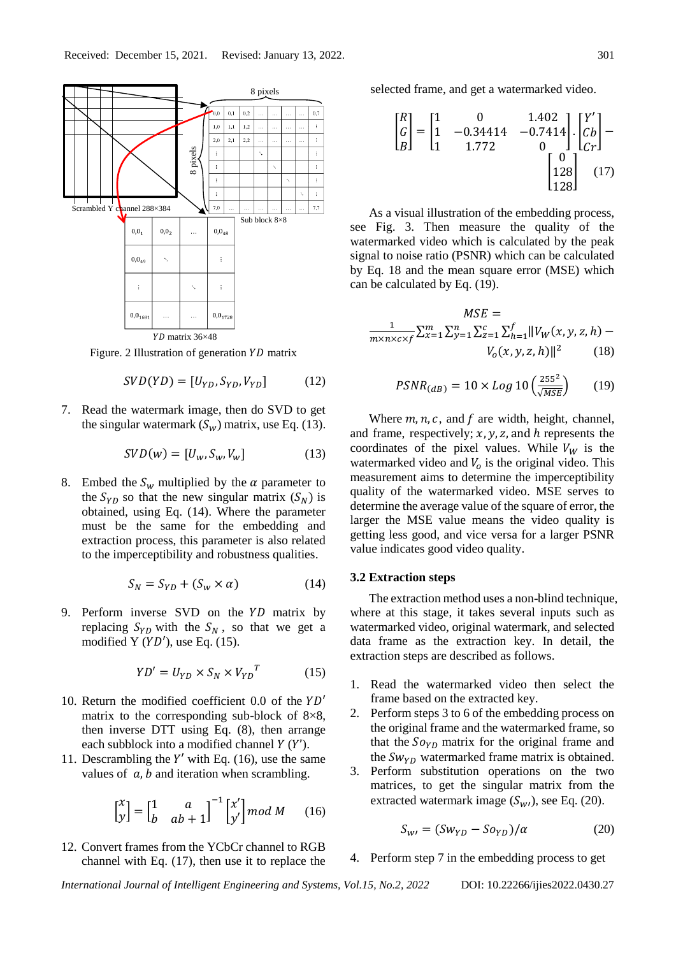

Figure. 2 Illustration of generation  $YD$  matrix

$$
SVD(YD) = [U_{YD}, S_{YD}, V_{YD}] \tag{12}
$$

7. Read the watermark image, then do SVD to get the singular watermark  $(S_w)$  matrix, use Eq. (13).

$$
SVD(w) = [U_w, S_w, V_w]
$$
 (13)

8. Embed the  $S_w$  multiplied by the  $\alpha$  parameter to the  $S_{YD}$  so that the new singular matrix  $(S_N)$  is obtained, using Eq. (14). Where the parameter must be the same for the embedding and extraction process, this parameter is also related to the imperceptibility and robustness qualities.

$$
S_N = S_{YD} + (S_w \times \alpha) \tag{14}
$$

9. Perform inverse SVD on the  $YD$  matrix by replacing  $S_{YD}$  with the  $S_N$ , so that we get a modified Y  $(YD')$ , use Eq. (15).

$$
YD' = U_{YD} \times S_N \times V_{YD}^T \tag{15}
$$

- 10. Return the modified coefficient 0.0 of the  $YD'$ matrix to the corresponding sub-block of  $8\times 8$ , then inverse DTT using Eq. (8), then arrange each subblock into a modified channel  $Y(Y')$ .
- 11. Descrambling the  $Y'$  with Eq. (16), use the same values of  $a$ ,  $b$  and iteration when scrambling.

$$
\begin{bmatrix} x \\ y \end{bmatrix} = \begin{bmatrix} 1 & a \\ b & ab + 1 \end{bmatrix}^{-1} \begin{bmatrix} x' \\ y' \end{bmatrix} \text{mod } M \qquad (16)
$$

12. Convert frames from the YCbCr channel to RGB channel with Eq. (17), then use it to replace the selected frame, and get a watermarked video.

$$
\begin{bmatrix} R \\ G \\ B \end{bmatrix} = \begin{bmatrix} 1 & 0 & 1.402 \\ 1 & -0.34414 & -0.7414 \\ 1 & 1.772 & 0 \end{bmatrix} \cdot \begin{bmatrix} Y' \\ Cb \\ Cr \end{bmatrix} - \begin{bmatrix} 0 \\ 128 \\ 128 \end{bmatrix}
$$
 (17)

As a visual illustration of the embedding process, see Fig. 3. Then measure the quality of the watermarked video which is calculated by the peak signal to noise ratio (PSNR) which can be calculated by Eq. 18 and the mean square error (MSE) which can be calculated by Eq. (19).

$$
MSE =
$$
  

$$
\frac{1}{m \times n \times c \times f} \sum_{x=1}^{m} \sum_{y=1}^{n} \sum_{z=1}^{c} \sum_{h=1}^{f} ||V_{W}(x, y, z, h) - V_{o}(x, y, z, h)||^{2}
$$
 (18)

$$
PSNR_{(dB)} = 10 \times Log 10 \left(\frac{255^2}{\sqrt{MSE}}\right) \tag{19}
$$

Where  $m, n, c$ , and  $f$  are width, height, channel, and frame, respectively;  $x$ ,  $y$ ,  $z$ , and  $h$  represents the coordinates of the pixel values. While  $V_W$  is the watermarked video and  $V_0$  is the original video. This measurement aims to determine the imperceptibility quality of the watermarked video. MSE serves to determine the average value of the square of error, the larger the MSE value means the video quality is getting less good, and vice versa for a larger PSNR value indicates good video quality.

### **3.2 Extraction steps**

The extraction method uses a non-blind technique, where at this stage, it takes several inputs such as watermarked video, original watermark, and selected data frame as the extraction key. In detail, the extraction steps are described as follows.

- 1. Read the watermarked video then select the frame based on the extracted key.
- 2. Perform steps 3 to 6 of the embedding process on the original frame and the watermarked frame, so that the  $Sov_{p}$  matrix for the original frame and the  $Sw_{YD}$  watermarked frame matrix is obtained.
- 3. Perform substitution operations on the two matrices, to get the singular matrix from the extracted watermark image  $(S_{w_l})$ , see Eq. (20).

$$
S_{\rm w\prime} = (S w_{\rm YD} - S o_{\rm YD})/\alpha \tag{20}
$$

## 4. Perform step 7 in the embedding process to get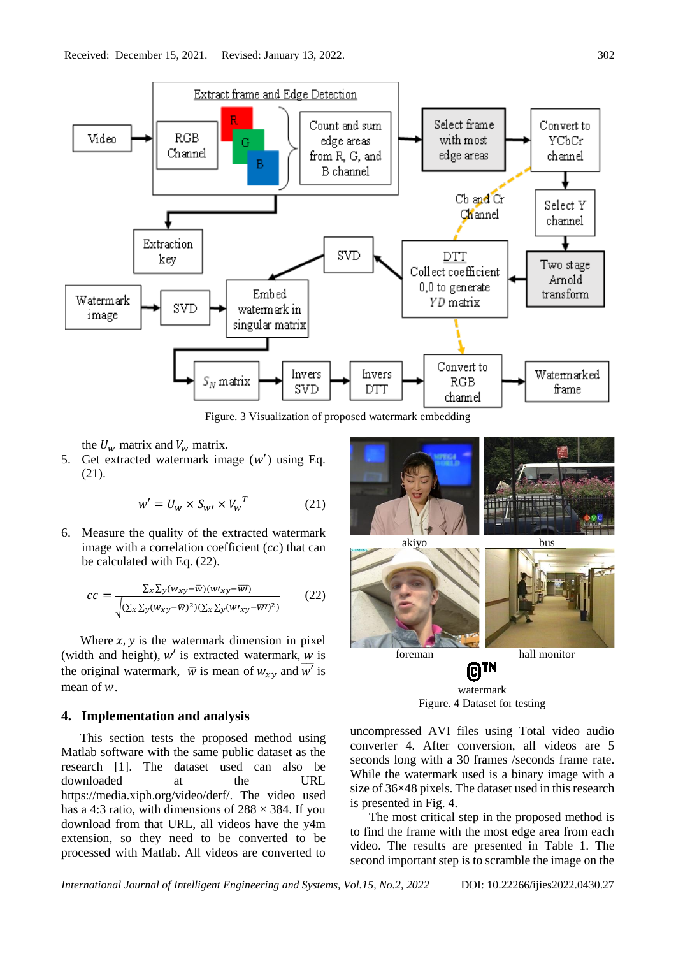

Figure. 3 Visualization of proposed watermark embedding

the  $U_w$  matrix and  $V_w$  matrix.

5. Get extracted watermark image  $(w')$  using Eq. (21).

$$
w' = U_w \times S_{w'} \times V_w^T
$$
 (21)

6. Measure the quality of the extracted watermark image with a correlation coefficient  $(cc)$  that can be calculated with Eq. (22).

$$
cc = \frac{\Sigma_x \Sigma_y (w_{xy} - \overline{w})(w_{xy} - \overline{w}r)}{\sqrt{(\Sigma_x \Sigma_y (w_{xy} - \overline{w})^2)(\Sigma_x \Sigma_y (w_{xy} - \overline{w}r)^2)}}
$$
(22)

Where  $x$ ,  $y$  is the watermark dimension in pixel (width and height),  $w'$  is extracted watermark,  $w$  is the original watermark,  $\overline{w}$  is mean of  $w_{xy}$  and  $\overline{w'}$  is mean of  $w$ .

## **4. Implementation and analysis**

This section tests the proposed method using Matlab software with the same public dataset as the research [1]. The dataset used can also be downloaded at the URL https://media.xiph.org/video/derf/. The video used has a 4:3 ratio, with dimensions of  $288 \times 384$ . If you download from that URL, all videos have the y4m extension, so they need to be converted to be processed with Matlab. All videos are converted to



watermark Figure. 4 Dataset for testing

uncompressed AVI files using Total video audio converter 4. After conversion, all videos are 5 seconds long with a 30 frames /seconds frame rate. While the watermark used is a binary image with a size of 36×48 pixels. The dataset used in this research is presented in Fig. 4.

The most critical step in the proposed method is to find the frame with the most edge area from each video. The results are presented in Table 1. The second important step is to scramble the image on the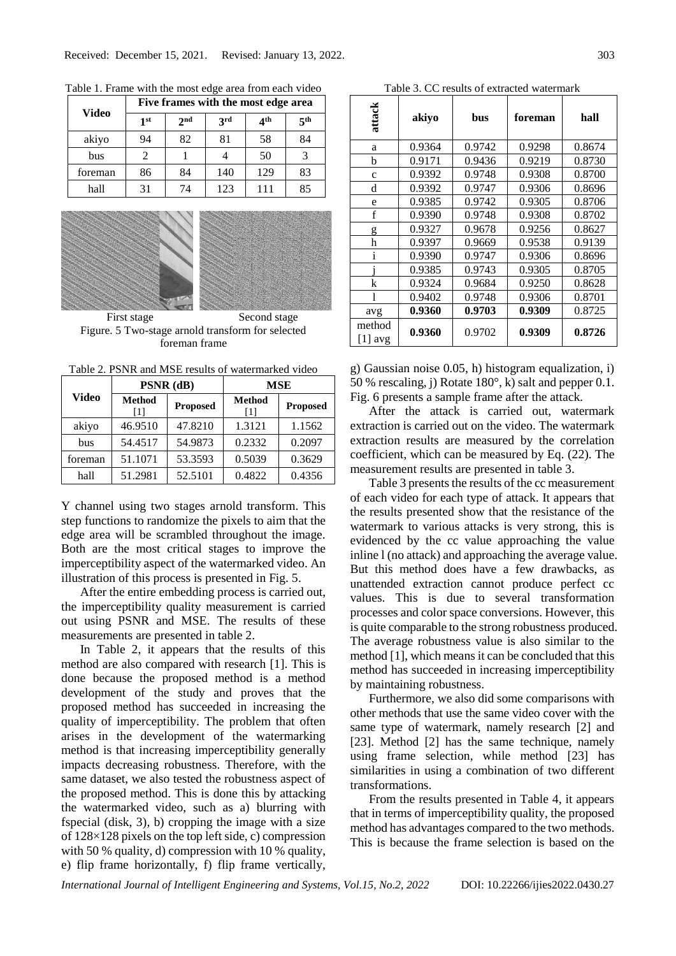|              | Five frames with the most edge area |                 |            |              |                 |
|--------------|-------------------------------------|-----------------|------------|--------------|-----------------|
| <b>Video</b> | 1 <sup>st</sup>                     | 2 <sub>nd</sub> | <b>3rd</b> | $4^{\rm th}$ | 5 <sup>th</sup> |
| akiyo        | 94                                  | 82              | 81         | 58           | 84              |
| bus          |                                     |                 |            | 50           |                 |
| foreman      | 86                                  | 84              | 140        | 129          | 83              |
| hall         | 31                                  | 74              | 123        | 111          | 85              |

Table 1. Frame with the most edge area from each video



First stage Second stage Figure. 5 Two-stage arnold transform for selected foreman frame

Table 2. PSNR and MSE results of watermarked video

| <b>Video</b> |                        | $PSNR$ (dB)     | <b>MSE</b>          |                 |  |
|--------------|------------------------|-----------------|---------------------|-----------------|--|
|              | <b>Method</b><br>$[1]$ | <b>Proposed</b> | <b>Method</b><br> 1 | <b>Proposed</b> |  |
| akiyo        | 46.9510                | 47.8210         | 1.3121              | 1.1562          |  |
| bus          | 54.4517                | 54.9873         | 0.2332              | 0.2097          |  |
| foreman      | 51.1071                | 53.3593         | 0.5039              | 0.3629          |  |
| hall         | 51.2981                | 52.5101         | 0.4822              | 0.4356          |  |

Y channel using two stages arnold transform. This step functions to randomize the pixels to aim that the edge area will be scrambled throughout the image. Both are the most critical stages to improve the imperceptibility aspect of the watermarked video. An illustration of this process is presented in Fig. 5.

After the entire embedding process is carried out, the imperceptibility quality measurement is carried out using PSNR and MSE. The results of these measurements are presented in table 2.

In Table 2, it appears that the results of this method are also compared with research [1]. This is done because the proposed method is a method development of the study and proves that the proposed method has succeeded in increasing the quality of imperceptibility. The problem that often arises in the development of the watermarking method is that increasing imperceptibility generally impacts decreasing robustness. Therefore, with the same dataset, we also tested the robustness aspect of the proposed method. This is done this by attacking the watermarked video, such as a) blurring with fspecial (disk, 3), b) cropping the image with a size of 128×128 pixels on the top left side, c) compression with 50 % quality, d) compression with 10 % quality, e) flip frame horizontally, f) flip frame vertically,

| Table 3. CC results of extracted watermark |        |        |         |        |
|--------------------------------------------|--------|--------|---------|--------|
| attack                                     | akiyo  | bus    | foreman | hall   |
| a                                          | 0.9364 | 0.9742 | 0.9298  | 0.8674 |
| b                                          | 0.9171 | 0.9436 | 0.9219  | 0.8730 |
| $\mathbf{C}$                               | 0.9392 | 0.9748 | 0.9308  | 0.8700 |
| d                                          | 0.9392 | 0.9747 | 0.9306  | 0.8696 |
| e                                          | 0.9385 | 0.9742 | 0.9305  | 0.8706 |
| f                                          | 0.9390 | 0.9748 | 0.9308  | 0.8702 |
| g                                          | 0.9327 | 0.9678 | 0.9256  | 0.8627 |
| h                                          | 0.9397 | 0.9669 | 0.9538  | 0.9139 |
| $\mathbf{i}$                               | 0.9390 | 0.9747 | 0.9306  | 0.8696 |
|                                            | 0.9385 | 0.9743 | 0.9305  | 0.8705 |
| k                                          | 0.9324 | 0.9684 | 0.9250  | 0.8628 |
| 1                                          | 0.9402 | 0.9748 | 0.9306  | 0.8701 |
| avg                                        | 0.9360 | 0.9703 | 0.9309  | 0.8725 |
| method<br>$[1]$ avg                        | 0.9360 | 0.9702 | 0.9309  | 0.8726 |

g) Gaussian noise 0.05, h) histogram equalization, i) 50 % rescaling, j) Rotate 180°, k) salt and pepper 0.1. Fig. 6 presents a sample frame after the attack.

After the attack is carried out, watermark extraction is carried out on the video. The watermark extraction results are measured by the correlation coefficient, which can be measured by Eq. (22). The measurement results are presented in table 3.

Table 3 presents the results of the cc measurement of each video for each type of attack. It appears that the results presented show that the resistance of the watermark to various attacks is very strong, this is evidenced by the cc value approaching the value inline l (no attack) and approaching the average value. But this method does have a few drawbacks, as unattended extraction cannot produce perfect cc values. This is due to several transformation processes and color space conversions. However, this is quite comparable to the strong robustness produced. The average robustness value is also similar to the method [1], which means it can be concluded that this method has succeeded in increasing imperceptibility by maintaining robustness.

Furthermore, we also did some comparisons with other methods that use the same video cover with the same type of watermark, namely research [2] and [23]. Method [2] has the same technique, namely using frame selection, while method [23] has similarities in using a combination of two different transformations.

From the results presented in Table 4, it appears that in terms of imperceptibility quality, the proposed method has advantages compared to the two methods. This is because the frame selection is based on the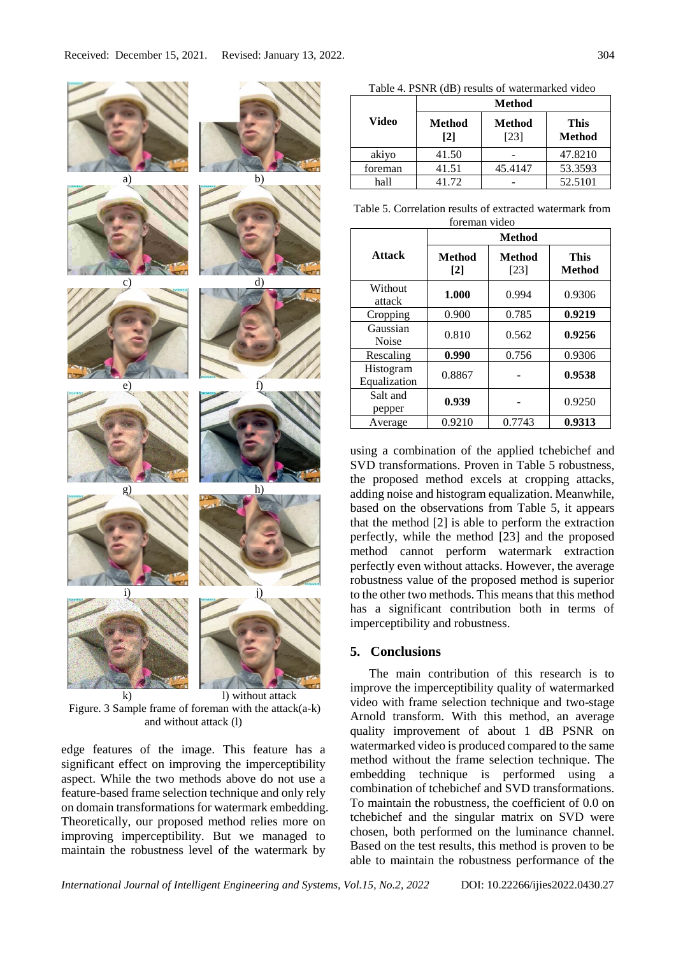

k) l) without attack Figure. 3 Sample frame of foreman with the attack $(a-k)$ and without attack (l)

edge features of the image. This feature has a significant effect on improving the imperceptibility aspect. While the two methods above do not use a feature-based frame selection technique and only rely on domain transformations for watermark embedding. Theoretically, our proposed method relies more on improving imperceptibility. But we managed to maintain the robustness level of the watermark by

Table 4. PSNR (dB) results of watermarked video **Video Method Method [2] Method**  [23] **This Method** akiyo | 41.50 | - | 47.8210 foreman 41.51 45.4147 53.3593 hall 41.72 - 52.5101

Table 5. Correlation results of extracted watermark from foreman video

|                           | <b>Method</b>        |                  |                              |  |
|---------------------------|----------------------|------------------|------------------------------|--|
| <b>Attack</b>             | <b>Method</b><br>[2] | Method<br>$[23]$ | <b>This</b><br><b>Method</b> |  |
| Without<br>attack         | 1.000                | 0.994            | 0.9306                       |  |
| Cropping                  | 0.900                | 0.785            | 0.9219                       |  |
| Gaussian<br><b>Noise</b>  | 0.810                | 0.562            | 0.9256                       |  |
| Rescaling                 | 0.990                | 0.756            | 0.9306                       |  |
| Histogram<br>Equalization | 0.8867               |                  | 0.9538                       |  |
| Salt and<br>pepper        | 0.939                |                  | 0.9250                       |  |
| Average                   | 0.9210               | 0.7743           | 0.9313                       |  |

using a combination of the applied tchebichef and SVD transformations. Proven in Table 5 robustness, the proposed method excels at cropping attacks, adding noise and histogram equalization. Meanwhile, based on the observations from Table 5, it appears that the method [2] is able to perform the extraction perfectly, while the method [23] and the proposed method cannot perform watermark extraction perfectly even without attacks. However, the average robustness value of the proposed method is superior to the other two methods. This means that this method has a significant contribution both in terms of imperceptibility and robustness.

## **5. Conclusions**

The main contribution of this research is to improve the imperceptibility quality of watermarked video with frame selection technique and two-stage Arnold transform. With this method, an average quality improvement of about 1 dB PSNR on watermarked video is produced compared to the same method without the frame selection technique. The embedding technique is performed using a combination of tchebichef and SVD transformations. To maintain the robustness, the coefficient of 0.0 on tchebichef and the singular matrix on SVD were chosen, both performed on the luminance channel. Based on the test results, this method is proven to be able to maintain the robustness performance of the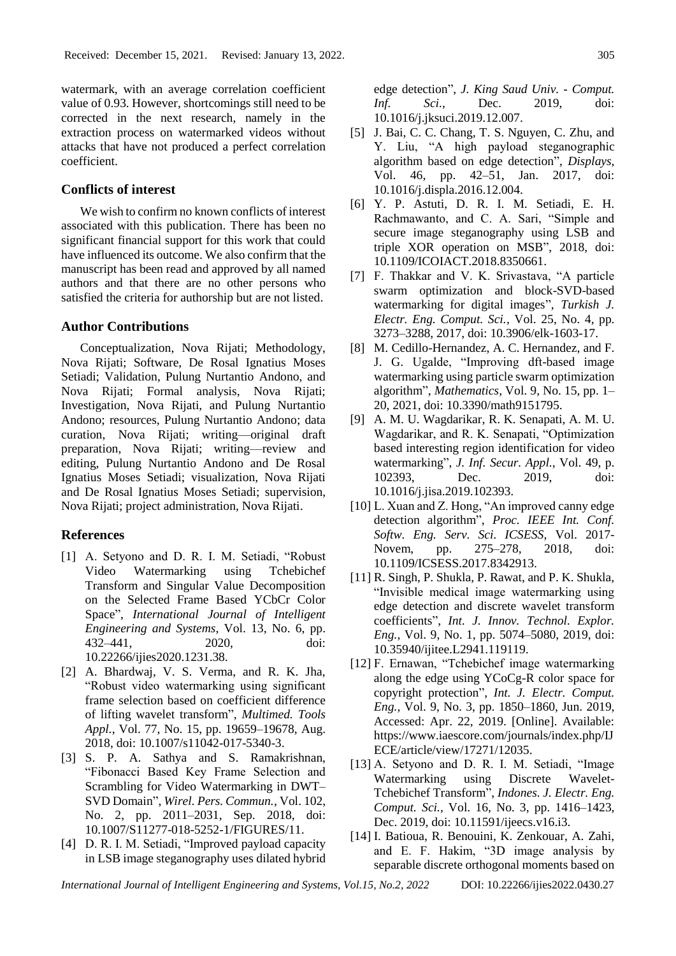watermark, with an average correlation coefficient value of 0.93. However, shortcomings still need to be corrected in the next research, namely in the extraction process on watermarked videos without attacks that have not produced a perfect correlation coefficient.

## **Conflicts of interest**

We wish to confirm no known conflicts of interest associated with this publication. There has been no significant financial support for this work that could have influenced its outcome. We also confirm that the manuscript has been read and approved by all named authors and that there are no other persons who satisfied the criteria for authorship but are not listed.

#### **Author Contributions**

Conceptualization, Nova Rijati; Methodology, Nova Rijati; Software, De Rosal Ignatius Moses Setiadi; Validation, Pulung Nurtantio Andono, and Nova Rijati; Formal analysis, Nova Rijati; Investigation, Nova Rijati, and Pulung Nurtantio Andono; resources, Pulung Nurtantio Andono; data curation, Nova Rijati; writing—original draft preparation, Nova Rijati; writing—review and editing, Pulung Nurtantio Andono and De Rosal Ignatius Moses Setiadi; visualization, Nova Rijati and De Rosal Ignatius Moses Setiadi; supervision, Nova Rijati; project administration, Nova Rijati.

## **References**

- [1] A. Setyono and D. R. I. M. Setiadi, "Robust Video Watermarking using Tchebichef Transform and Singular Value Decomposition on the Selected Frame Based YCbCr Color Space", *International Journal of Intelligent Engineering and Systems*, Vol. 13, No. 6, pp. 432–441, 2020, doi: 10.22266/ijies2020.1231.38.
- [2] A. Bhardwaj, V. S. Verma, and R. K. Jha, "Robust video watermarking using significant frame selection based on coefficient difference of lifting wavelet transform", *Multimed. Tools Appl.*, Vol. 77, No. 15, pp. 19659–19678, Aug. 2018, doi: 10.1007/s11042-017-5340-3.
- [3] S. P. A. Sathya and S. Ramakrishnan, "Fibonacci Based Key Frame Selection and Scrambling for Video Watermarking in DWT– SVD Domain", *Wirel. Pers. Commun.*, Vol. 102, No. 2, pp. 2011–2031, Sep. 2018, doi: 10.1007/S11277-018-5252-1/FIGURES/11.
- [4] D. R. I. M. Setiadi, "Improved payload capacity in LSB image steganography uses dilated hybrid

edge detection", *J. King Saud Univ. - Comput. Inf. Sci.*, Dec. 2019, doi: 10.1016/j.jksuci.2019.12.007.

- [5] J. Bai, C. C. Chang, T. S. Nguyen, C. Zhu, and Y. Liu, "A high payload steganographic algorithm based on edge detection", *Displays*, Vol. 46, pp. 42–51, Jan. 2017, doi: 10.1016/j.displa.2016.12.004.
- [6] Y. P. Astuti, D. R. I. M. Setiadi, E. H. Rachmawanto, and C. A. Sari, "Simple and secure image steganography using LSB and triple XOR operation on MSB", 2018, doi: 10.1109/ICOIACT.2018.8350661.
- [7] F. Thakkar and V. K. Srivastava, "A particle swarm optimization and block-SVD-based watermarking for digital images", *Turkish J. Electr. Eng. Comput. Sci.*, Vol. 25, No. 4, pp. 3273–3288, 2017, doi: 10.3906/elk-1603-17.
- [8] M. Cedillo-Hernandez, A. C. Hernandez, and F. J. G. Ugalde, "Improving dft-based image watermarking using particle swarm optimization algorithm", *Mathematics*, Vol. 9, No. 15, pp. 1– 20, 2021, doi: 10.3390/math9151795.
- [9] A. M. U. Wagdarikar, R. K. Senapati, A. M. U. Wagdarikar, and R. K. Senapati, "Optimization based interesting region identification for video watermarking", *J. Inf. Secur. Appl.*, Vol. 49, p. 102393, Dec. 2019, doi: 10.1016/j.jisa.2019.102393.
- [10] L. Xuan and Z. Hong, "An improved canny edge detection algorithm", *Proc. IEEE Int. Conf. Softw. Eng. Serv. Sci. ICSESS*, Vol. 2017- Novem, pp. 275–278, 2018, doi: 10.1109/ICSESS.2017.8342913.
- [11] R. Singh, P. Shukla, P. Rawat, and P. K. Shukla, "Invisible medical image watermarking using edge detection and discrete wavelet transform coefficients", *Int. J. Innov. Technol. Explor. Eng.*, Vol. 9, No. 1, pp. 5074–5080, 2019, doi: 10.35940/ijitee.L2941.119119.
- [12] F. Ernawan, "Tchebichef image watermarking along the edge using YCoCg-R color space for copyright protection", *Int. J. Electr. Comput. Eng.*, Vol. 9, No. 3, pp. 1850–1860, Jun. 2019, Accessed: Apr. 22, 2019. [Online]. Available: https://www.iaescore.com/journals/index.php/IJ ECE/article/view/17271/12035.
- [13] A. Setyono and D. R. I. M. Setiadi, "Image Watermarking using Discrete Wavelet-Tchebichef Transform", *Indones. J. Electr. Eng. Comput. Sci.*, Vol. 16, No. 3, pp. 1416–1423, Dec. 2019, doi: 10.11591/ijeecs.v16.i3.
- [14] I. Batioua, R. Benouini, K. Zenkouar, A. Zahi, and E. F. Hakim, "3D image analysis by separable discrete orthogonal moments based on